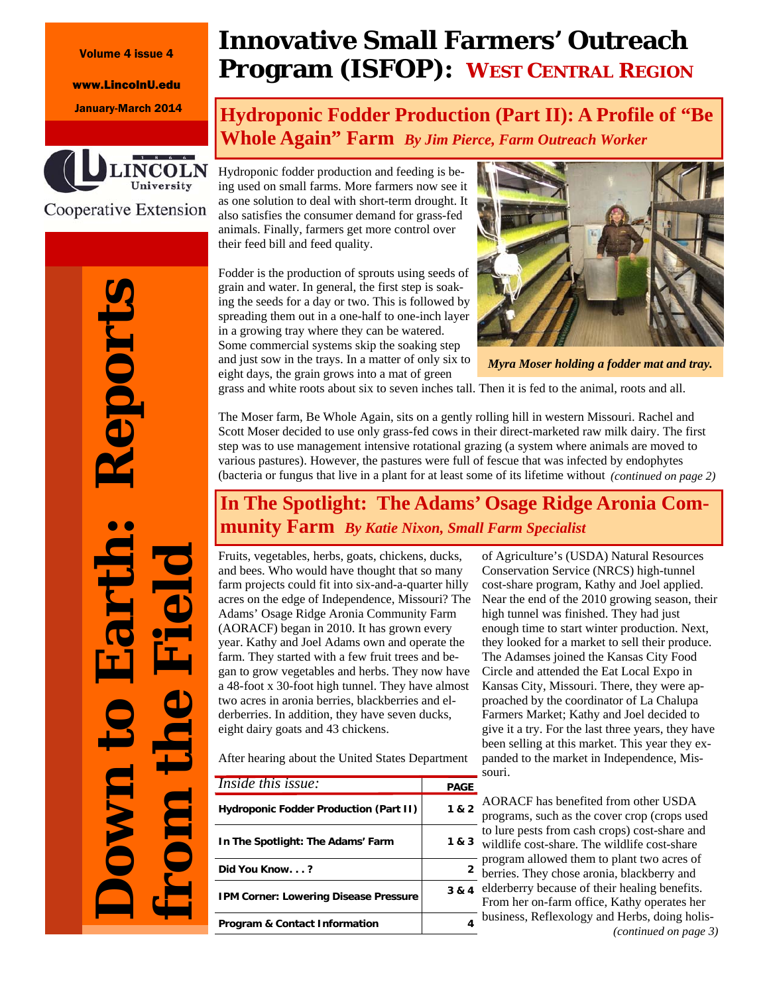#### Volume 4 issue 4

www.LincolnU.edu



Cooperative Extension

# **Innovative Small Farmers' Outreach Program (ISFOP): WEST CENTRAL REGION**

## January-March 2014 **Hydroponic Fodder Production (Part II): A Profile of "Be Whole Again" Farm** *By Jim Pierce, Farm Outreach Worker*

Hydroponic fodder production and feeding is being used on small farms. More farmers now see it as one solution to deal with short-term drought. It also satisfies the consumer demand for grass-fed animals. Finally, farmers get more control over their feed bill and feed quality.

Fodder is the production of sprouts using seeds of grain and water. In general, the first step is soaking the seeds for a day or two. This is followed by spreading them out in a one-half to one-inch layer in a growing tray where they can be watered. Some commercial systems skip the soaking step and just sow in the trays. In a matter of only six to eight days, the grain grows into a mat of green



*Myra Moser holding a fodder mat and tray.* 

grass and white roots about six to seven inches tall. Then it is fed to the animal, roots and all.

The Moser farm, Be Whole Again, sits on a gently rolling hill in western Missouri. Rachel and Scott Moser decided to use only grass-fed cows in their direct-marketed raw milk dairy. The first step was to use management intensive rotational grazing (a system where animals are moved to various pastures). However, the pastures were full of fescue that was infected by endophytes (bacteria or fungus that live in a plant for at least some of its lifetime without *(continued on page 2)* 

### **In The Spotlight: The Adams' Osage Ridge Aronia Community Farm** *By Katie Nixon, Small Farm Specialist*

Fruits, vegetables, herbs, goats, chickens, ducks, and bees. Who would have thought that so many farm projects could fit into six-and-a-quarter hilly acres on the edge of Independence, Missouri? The Adams' Osage Ridge Aronia Community Farm (AORACF) began in 2010. It has grown every year. Kathy and Joel Adams own and operate the farm. They started with a few fruit trees and began to grow vegetables and herbs. They now have a 48-foot x 30-foot high tunnel. They have almost two acres in aronia berries, blackberries and elderberries. In addition, they have seven ducks, eight dairy goats and 43 chickens.

After hearing about the United States Department

| <i>Inside this issue:</i>                     | <b>PAGE</b> |
|-----------------------------------------------|-------------|
| <b>Hydroponic Fodder Production (Part II)</b> | 1 & 2       |
| In The Spotlight: The Adams' Farm             | 1 & 3       |
| Did You Know?                                 | 2           |
| <b>IPM Corner: Lowering Disease Pressure</b>  | 3 & 4       |
| <b>Program &amp; Contact Information</b>      |             |

of Agriculture's (USDA) Natural Resources Conservation Service (NRCS) high-tunnel cost-share program, Kathy and Joel applied. Near the end of the 2010 growing season, their high tunnel was finished. They had just enough time to start winter production. Next, they looked for a market to sell their produce. The Adamses joined the Kansas City Food Circle and attended the Eat Local Expo in Kansas City, Missouri. There, they were approached by the coordinator of La Chalupa Farmers Market; Kathy and Joel decided to give it a try. For the last three years, they have been selling at this market. This year they expanded to the market in Independence, Missouri.

AORACF has benefited from other USDA programs, such as the cover crop (crops used to lure pests from cash crops) cost-share and  $v<sup>3</sup>$  wildlife cost-share. The wildlife cost-share program allowed them to plant two acres of <sup>2</sup> berries. They chose aronia, blackberry and  $\lambda$  4 elderberry because of their healing benefits. From her on-farm office, Kathy operates her 4 business, Reflexology and Herbs, doing holis-*(continued on page 3)* 

**Down to Earth: Reports**  eport **from the Field**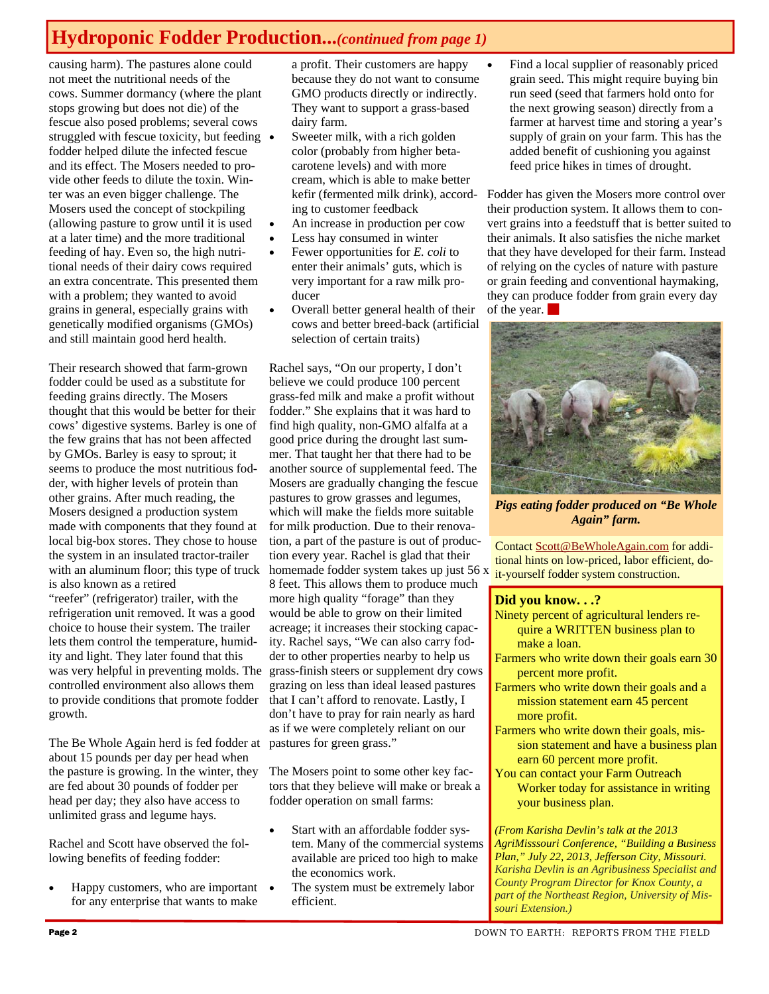# **Hydroponic Fodder Production...***(continued from page 1)*

causing harm). The pastures alone could not meet the nutritional needs of the cows. Summer dormancy (where the plant stops growing but does not die) of the fescue also posed problems; several cows struggled with fescue toxicity, but feeding • fodder helped dilute the infected fescue and its effect. The Mosers needed to provide other feeds to dilute the toxin. Winter was an even bigger challenge. The Mosers used the concept of stockpiling (allowing pasture to grow until it is used at a later time) and the more traditional feeding of hay. Even so, the high nutritional needs of their dairy cows required an extra concentrate. This presented them with a problem; they wanted to avoid grains in general, especially grains with genetically modified organisms (GMOs) and still maintain good herd health.

Their research showed that farm-grown fodder could be used as a substitute for feeding grains directly. The Mosers thought that this would be better for their cows' digestive systems. Barley is one of the few grains that has not been affected by GMOs. Barley is easy to sprout; it seems to produce the most nutritious fodder, with higher levels of protein than other grains. After much reading, the Mosers designed a production system made with components that they found at local big-box stores. They chose to house the system in an insulated tractor-trailer with an aluminum floor; this type of truck is also known as a retired "reefer" (refrigerator) trailer, with the refrigeration unit removed. It was a good choice to house their system. The trailer lets them control the temperature, humidity and light. They later found that this controlled environment also allows them to provide conditions that promote fodder growth.

The Be Whole Again herd is fed fodder at about 15 pounds per day per head when the pasture is growing. In the winter, they are fed about 30 pounds of fodder per head per day; they also have access to unlimited grass and legume hays.

Rachel and Scott have observed the following benefits of feeding fodder:

 Happy customers, who are important for any enterprise that wants to make

a profit. Their customers are happy because they do not want to consume GMO products directly or indirectly. They want to support a grass-based dairy farm.

- Sweeter milk, with a rich golden color (probably from higher betacarotene levels) and with more cream, which is able to make better kefir (fermented milk drink), according to customer feedback
- An increase in production per cow
- Less hay consumed in winter
- Fewer opportunities for *E. coli* to enter their animals' guts, which is very important for a raw milk producer
- Overall better general health of their cows and better breed-back (artificial selection of certain traits)

was very helpful in preventing molds. The grass-finish steers or supplement dry cows Rachel says, "On our property, I don't believe we could produce 100 percent grass-fed milk and make a profit without fodder." She explains that it was hard to find high quality, non-GMO alfalfa at a good price during the drought last summer. That taught her that there had to be another source of supplemental feed. The Mosers are gradually changing the fescue pastures to grow grasses and legumes, which will make the fields more suitable for milk production. Due to their renovation, a part of the pasture is out of production every year. Rachel is glad that their homemade fodder system takes up just 56 x 8 feet. This allows them to produce much more high quality "forage" than they would be able to grow on their limited acreage; it increases their stocking capacity. Rachel says, "We can also carry fodder to other properties nearby to help us grazing on less than ideal leased pastures that I can't afford to renovate. Lastly, I don't have to pray for rain nearly as hard as if we were completely reliant on our pastures for green grass."

> The Mosers point to some other key factors that they believe will make or break a fodder operation on small farms:

- Start with an affordable fodder system. Many of the commercial systems available are priced too high to make the economics work.
- The system must be extremely labor efficient.

 Find a local supplier of reasonably priced grain seed. This might require buying bin run seed (seed that farmers hold onto for the next growing season) directly from a farmer at harvest time and storing a year's supply of grain on your farm. This has the added benefit of cushioning you against feed price hikes in times of drought.

Fodder has given the Mosers more control over their production system. It allows them to convert grains into a feedstuff that is better suited to their animals. It also satisfies the niche market that they have developed for their farm. Instead of relying on the cycles of nature with pasture or grain feeding and conventional haymaking, they can produce fodder from grain every day of the year.



*Pigs eating fodder produced on "Be Whole Again" farm.* 

Contact Scott@BeWholeAgain.com for additional hints on low-priced, labor efficient, doit-yourself fodder system construction.

#### **Did you know. . .?**

- Ninety percent of agricultural lenders require a WRITTEN business plan to make a loan.
- Farmers who write down their goals earn 30 percent more profit.
- Farmers who write down their goals and a mission statement earn 45 percent more profit.
- Farmers who write down their goals, mission statement and have a business plan earn 60 percent more profit.
- You can contact your Farm Outreach Worker today for assistance in writing your business plan.

*(From Karisha Devlin's talk at the 2013 AgriMisssouri Conference, "Building a Business Plan," July 22, 2013, Jefferson City, Missouri. Karisha Devlin is an Agribusiness Specialist and County Program Director for Knox County, a part of the Northeast Region, University of Missouri Extension.)*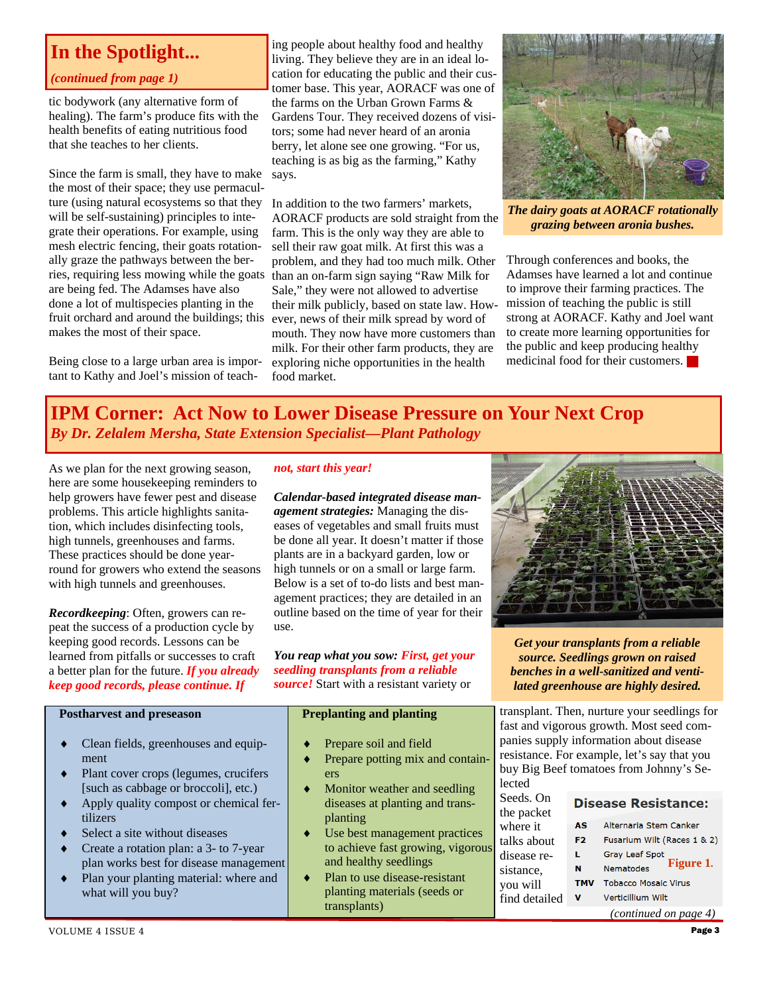### **In the Spotlight...**

### *(continued from page 1)*

tic bodywork (any alternative form of healing). The farm's produce fits with the health benefits of eating nutritious food that she teaches to her clients.

Since the farm is small, they have to make the most of their space; they use permaculture (using natural ecosystems so that they will be self-sustaining) principles to integrate their operations. For example, using mesh electric fencing, their goats rotationally graze the pathways between the berries, requiring less mowing while the goats are being fed. The Adamses have also done a lot of multispecies planting in the fruit orchard and around the buildings; this makes the most of their space.

Being close to a large urban area is important to Kathy and Joel's mission of teach-

ing people about healthy food and healthy living. They believe they are in an ideal location for educating the public and their customer base. This year, AORACF was one of the farms on the Urban Grown Farms & Gardens Tour. They received dozens of visitors; some had never heard of an aronia berry, let alone see one growing. "For us, teaching is as big as the farming," Kathy says.

In addition to the two farmers' markets, AORACF products are sold straight from the farm. This is the only way they are able to sell their raw goat milk. At first this was a problem, and they had too much milk. Other than an on-farm sign saying "Raw Milk for Sale," they were not allowed to advertise their milk publicly, based on state law. However, news of their milk spread by word of mouth. They now have more customers than milk. For their other farm products, they are exploring niche opportunities in the health food market.



*The dairy goats at AORACF rotationally grazing between aronia bushes.* 

Through conferences and books, the Adamses have learned a lot and continue to improve their farming practices. The mission of teaching the public is still strong at AORACF. Kathy and Joel want to create more learning opportunities for the public and keep producing healthy medicinal food for their customers.

### **IPM Corner: Act Now to Lower Disease Pressure on Your Next Crop**  *By Dr. Zelalem Mersha, State Extension Specialist—Plant Pathology*

As we plan for the next growing season, here are some housekeeping reminders to help growers have fewer pest and disease problems. This article highlights sanitation, which includes disinfecting tools, high tunnels, greenhouses and farms. These practices should be done yearround for growers who extend the seasons with high tunnels and greenhouses.

*Recordkeeping*: Often, growers can repeat the success of a production cycle by keeping good records. Lessons can be learned from pitfalls or successes to craft a better plan for the future. *If you already keep good records, please continue. If* 

### *not, start this year!*

*Calendar-based integrated disease management strategies:* Managing the diseases of vegetables and small fruits must be done all year. It doesn't matter if those plants are in a backyard garden, low or high tunnels or on a small or large farm. Below is a set of to-do lists and best management practices; they are detailed in an outline based on the time of year for their use.

*You reap what you sow: First, get your seedling transplants from a reliable source!* Start with a resistant variety or

| <b>Postharvest and preseason</b> |                                        | <b>Preplanting and planting</b> |                                  |
|----------------------------------|----------------------------------------|---------------------------------|----------------------------------|
| $\bullet$                        | Clean fields, greenhouses and equip-   |                                 | Prepare soil and field           |
|                                  | ment                                   |                                 | Prepare potting mix and contain- |
| ٠                                | Plant cover crops (legumes, crucifers  |                                 | ers                              |
|                                  | [such as cabbage or broccoli], etc.)   |                                 | Monitor weather and seedling     |
| $\bullet$                        | Apply quality compost or chemical fer- |                                 | diseases at planting and trans-  |
|                                  | tilizers                               |                                 | planting                         |
|                                  | A Cologie gits without diseases        |                                 | I lee heet managament nugatigas  |

- Use best management practices to achieve fast growing, vigorous and healthy seedlings
	- Plan to use disease-resistant planting materials (seeds or transplants)



*Get your transplants from a reliable source. Seedlings grown on raised benches in a well-sanitized and ventilated greenhouse are highly desired.* 

transplant. Then, nurture your seedlings for fast and vigorous growth. Most seed companies supply information about disease resistance. For example, let's say that you buy Big Beef tomatoes from Johnny's Selected

| Seeds. On     | <b>Disease Resistance:</b> |                             |  |
|---------------|----------------------------|-----------------------------|--|
| the packet    |                            |                             |  |
| where it      | AS                         | Alternaria Stem Canker      |  |
| talks about   | F <sub>2</sub>             | Fusarium Wilt (Races 1 & 2) |  |
| disease re-   | L                          | <b>Gray Leaf Spot</b>       |  |
| sistance,     | N                          | Figure 1.<br>Nematodes      |  |
| you will      | <b>TMV</b>                 | <b>Tobacco Mosaic Virus</b> |  |
| find detailed | v                          | Verticillium Wilt           |  |
|               |                            | (continued on page 4)       |  |

- Create a rotation plan: a 3- to 7-year plan works best for disease management
- Plan your planting material: where and what will you buy?

P<sub>os</sub>